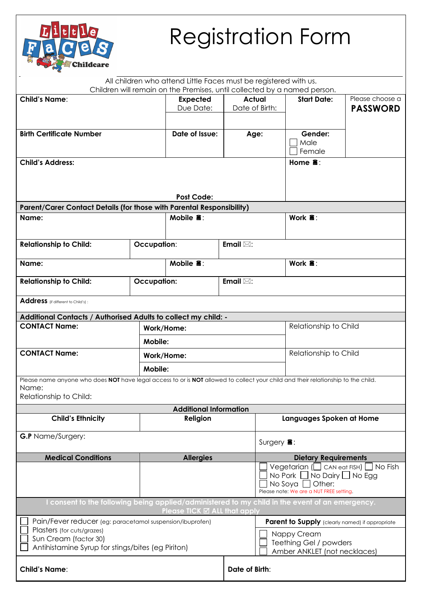| <b>Childcare</b> |
|------------------|
|------------------|

# Registration Form

|                                                                                                                                                                      |                              | All children who attend Little Faces must be registered with us.<br>Children will remain on the Premises, until collected by a named person. |                                                                                                                                      |                                                 |                                    |  |  |  |
|----------------------------------------------------------------------------------------------------------------------------------------------------------------------|------------------------------|----------------------------------------------------------------------------------------------------------------------------------------------|--------------------------------------------------------------------------------------------------------------------------------------|-------------------------------------------------|------------------------------------|--|--|--|
| <b>Child's Name:</b>                                                                                                                                                 | <b>Expected</b><br>Due Date: | <b>Actual</b><br>Date of Birth:                                                                                                              |                                                                                                                                      | <b>Start Date:</b>                              | Please choose a<br><b>PASSWORD</b> |  |  |  |
| <b>Birth Certificate Number</b>                                                                                                                                      | Date of Issue:               | Age:                                                                                                                                         |                                                                                                                                      | Gender:<br>Male<br>Female                       |                                    |  |  |  |
| <b>Child's Address:</b>                                                                                                                                              |                              |                                                                                                                                              |                                                                                                                                      | Home $\mathbf{\hat{a}}$ :                       |                                    |  |  |  |
|                                                                                                                                                                      |                              | <b>Post Code:</b>                                                                                                                            |                                                                                                                                      |                                                 |                                    |  |  |  |
| <b>Parent/Carer Contact Details (for those with Parental Responsibility)</b>                                                                                         |                              |                                                                                                                                              |                                                                                                                                      |                                                 |                                    |  |  |  |
| Name:                                                                                                                                                                | Mobile $\mathbf{\hat{a}}$ :  |                                                                                                                                              |                                                                                                                                      | Work $\mathbf{\hat{a}}$ :                       |                                    |  |  |  |
| <b>Relationship to Child:</b>                                                                                                                                        | <b>Occupation:</b>           |                                                                                                                                              |                                                                                                                                      |                                                 |                                    |  |  |  |
| Name:                                                                                                                                                                |                              | Mobile $\mathbf{\tilde{a}}$ :                                                                                                                |                                                                                                                                      |                                                 | Work $\mathbf{\hat{a}}$ :          |  |  |  |
| <b>Relationship to Child:</b>                                                                                                                                        | <b>Occupation:</b>           |                                                                                                                                              |                                                                                                                                      |                                                 |                                    |  |  |  |
| Address (if different to Child's):                                                                                                                                   |                              |                                                                                                                                              |                                                                                                                                      |                                                 |                                    |  |  |  |
| Additional Contacts / Authorised Adults to collect my child: -<br><b>CONTACT Name:</b>                                                                               |                              |                                                                                                                                              |                                                                                                                                      |                                                 | Relationship to Child              |  |  |  |
|                                                                                                                                                                      | Mobile:                      | Work/Home:                                                                                                                                   |                                                                                                                                      |                                                 |                                    |  |  |  |
| <b>CONTACT Name:</b>                                                                                                                                                 | Work/Home:                   |                                                                                                                                              |                                                                                                                                      |                                                 | Relationship to Child              |  |  |  |
|                                                                                                                                                                      | Mobile:                      |                                                                                                                                              |                                                                                                                                      |                                                 |                                    |  |  |  |
| Please name anyone who does NOT have legal access to or is NOT allowed to collect your child and their relationship to the child.<br>Name:<br>Relationship to Child: |                              |                                                                                                                                              |                                                                                                                                      |                                                 |                                    |  |  |  |
|                                                                                                                                                                      |                              | <b>Additional Information</b>                                                                                                                |                                                                                                                                      |                                                 |                                    |  |  |  |
| <b>Child's Ethnicity</b>                                                                                                                                             | Religion                     |                                                                                                                                              |                                                                                                                                      | Languages Spoken at Home                        |                                    |  |  |  |
| <b>G.P</b> Name/Surgery:                                                                                                                                             |                              | Surgery $\blacksquare$ :                                                                                                                     |                                                                                                                                      |                                                 |                                    |  |  |  |
| <b>Medical Conditions</b>                                                                                                                                            | <b>Allergies</b>             |                                                                                                                                              |                                                                                                                                      | <b>Dietary Requirements</b>                     |                                    |  |  |  |
|                                                                                                                                                                      |                              |                                                                                                                                              | Vegetarian ( $\Box$ CAN eat FISH) $\Box$ No Fish<br>No Pork $\Box$ No Dairy $\Box$ No Egg<br>Please note: We are a NUT FREE setting. |                                                 |                                    |  |  |  |
| consent to the following being applied/administered to my child in the event of an emergency.                                                                        |                              | Please TICK ⊠ ALL that apply                                                                                                                 |                                                                                                                                      |                                                 |                                    |  |  |  |
| Pain/Fever reducer (eg: paracetamol suspension/ibuprofen)                                                                                                            |                              |                                                                                                                                              |                                                                                                                                      | Parent to Supply (clearly named) if appropriate |                                    |  |  |  |
| Plasters (for cuts/grazes)<br>Sun Cream (factor 30)<br>Antihistamine Syrup for stings/bites (eg Piriton)                                                             |                              |                                                                                                                                              | Nappy Cream<br>Teething Gel / powders<br>Amber ANKLET (not necklaces)                                                                |                                                 |                                    |  |  |  |
| <b>Child's Name:</b>                                                                                                                                                 |                              | Date of Birth:                                                                                                                               |                                                                                                                                      |                                                 |                                    |  |  |  |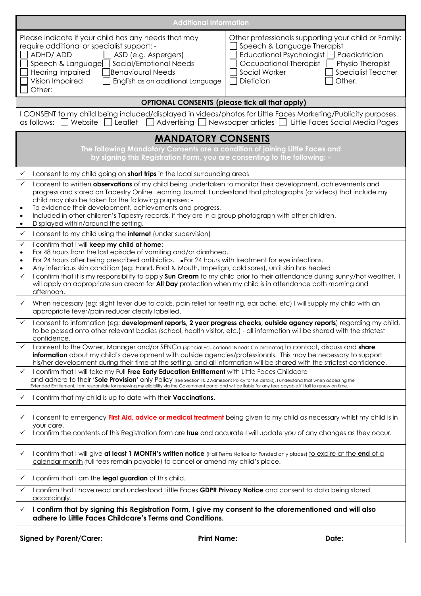| <b>Additional Information</b>                                                                                                                                                                                                                                                                                                                                                                                                                                                                                                                                                                                                                                    |  |  |  |  |  |  |  |
|------------------------------------------------------------------------------------------------------------------------------------------------------------------------------------------------------------------------------------------------------------------------------------------------------------------------------------------------------------------------------------------------------------------------------------------------------------------------------------------------------------------------------------------------------------------------------------------------------------------------------------------------------------------|--|--|--|--|--|--|--|
| Please indicate if your child has any needs that may<br>Other professionals supporting your child or Family:<br>require additional or specialist support: -<br>Speech & Language Therapist<br>ADHD/ ADD<br>Educational Psychologist   Paediatrician<br>ASD (e.g. Aspergers)<br>Speech & Language□ Social/Emotional Needs<br>Occupational Therapist<br>Physio Therapist<br>Social Worker<br>Behavioural Needs<br><b>Specialist Teacher</b><br>Hearing Impaired<br>Other:<br>Vision Impaired<br>English as an additional Language<br>Dietician<br>Other:                                                                                                           |  |  |  |  |  |  |  |
| <b>OPTIONAL CONSENTS (please tick all that apply)</b>                                                                                                                                                                                                                                                                                                                                                                                                                                                                                                                                                                                                            |  |  |  |  |  |  |  |
| I CONSENT to my child being included/displayed in videos/photos for Little Faces Marketing/Publicity purposes<br>$\Box$ Website $\Box$ Leaflet $\Box$ Advertising $\Box$ Newspaper articles $\Box$ Little Faces Social Media Pages<br>as follows:                                                                                                                                                                                                                                                                                                                                                                                                                |  |  |  |  |  |  |  |
| <b>MANDATORY CONSENTS</b><br>The following Mandatory Consents are a condition of joining Little Faces and<br>by signing this Registration Form, you are consenting to the following: -                                                                                                                                                                                                                                                                                                                                                                                                                                                                           |  |  |  |  |  |  |  |
| I consent to my child going on short trips in the local surrounding areas<br>$\checkmark$                                                                                                                                                                                                                                                                                                                                                                                                                                                                                                                                                                        |  |  |  |  |  |  |  |
| I consent to written observations of my child being undertaken to monitor their development, achievements and<br>$\checkmark$<br>progress and stored on Tapestry Online Learning Journal. I understand that photographs (or videos) that include my<br>child may also be taken for the following purposes: -<br>To evidence their development, achievements and progress.<br>$\bullet$<br>Included in other children's Tapestry records, if they are in a group photograph with other children.<br>$\bullet$<br>Displayed within/around the setting.<br>$\bullet$                                                                                                |  |  |  |  |  |  |  |
| I consent to my child using the <b>internet</b> (under supervision)<br>$\checkmark$                                                                                                                                                                                                                                                                                                                                                                                                                                                                                                                                                                              |  |  |  |  |  |  |  |
| confirm that I will keep my child at home: -<br>$\checkmark$<br>For 48 hours from the last episode of vomiting and/or diarrhoea.<br>$\bullet$<br>For 24 hours after being prescribed antibiotics. • For 24 hours with treatment for eye infections.<br>$\bullet$<br>Any infectious skin condition (eg: Hand, Foot & Mouth, Impetigo, cold sores), until skin has healed<br>$\checkmark$<br>I confirm that it is my responsibility to apply <b>Sun Cream</b> to my child prior to their attendance during sunny/hot weather. I<br>will apply an appropriate sun cream for <b>All Day</b> protection when my child is in attendance both morning and<br>afternoon. |  |  |  |  |  |  |  |
| When necessary (eg: slight fever due to colds, pain relief for teething, ear ache, etc) I will supply my child with an<br>$\checkmark$<br>appropriate fever/pain reducer clearly labelled.                                                                                                                                                                                                                                                                                                                                                                                                                                                                       |  |  |  |  |  |  |  |
| $\checkmark$<br>I consent to information (eg: development reports, 2 year progress checks, outside agency reports) regarding my child,<br>to be passed onto other relevant bodies (school, health visitor, etc.) - all information will be shared with the strictest<br>confidence.                                                                                                                                                                                                                                                                                                                                                                              |  |  |  |  |  |  |  |
| I consent to the Owner, Manager and/or SENCo (Special Educational Needs Co-ordinator) to contact, discuss and share<br>information about my child's development with outside agencies/professionals. This may be necessary to support<br>his/her development during their time at the setting, and all information will be shared with the strictest confidence.                                                                                                                                                                                                                                                                                                 |  |  |  |  |  |  |  |
| I confirm that I will take my Full Free Early Education Entitlement with Little Faces Childcare<br>$\checkmark$<br>and adhere to their 'Sole Provision' only Policy (see Section 10.2 Admissions Policy for full details). I understand that when accessing the<br>Extended Entitlement, I am responsible for renewing my eligibility via the Government portal and will be liable for any fees payable if I fail to renew on time.                                                                                                                                                                                                                              |  |  |  |  |  |  |  |
| I confirm that my child is up to date with their Vaccinations.<br>✓                                                                                                                                                                                                                                                                                                                                                                                                                                                                                                                                                                                              |  |  |  |  |  |  |  |
| I consent to emergency First Aid, advice or medical treatment being given to my child as necessary whilst my child is in<br>✓<br>your care.                                                                                                                                                                                                                                                                                                                                                                                                                                                                                                                      |  |  |  |  |  |  |  |
| I confirm the contents of this Registration form are true and accurate I will update you of any changes as they occur.                                                                                                                                                                                                                                                                                                                                                                                                                                                                                                                                           |  |  |  |  |  |  |  |
| I confirm that I will give at least 1 MONTH's written notice (Half Terms Notice for Funded only places) to expire at the end of a<br>✓<br>calendar month (full fees remain payable) to cancel or amend my child's place.                                                                                                                                                                                                                                                                                                                                                                                                                                         |  |  |  |  |  |  |  |
| I confirm that I am the legal guardian of this child.<br>✓                                                                                                                                                                                                                                                                                                                                                                                                                                                                                                                                                                                                       |  |  |  |  |  |  |  |
| I confirm that I have read and understood Little Faces GDPR Privacy Notice and consent to data being stored<br>✓<br>accordingly.                                                                                                                                                                                                                                                                                                                                                                                                                                                                                                                                 |  |  |  |  |  |  |  |
| I confirm that by signing this Registration Form, I give my consent to the aforementioned and will also<br>$\checkmark$<br>adhere to Little Faces Childcare's Terms and Conditions.                                                                                                                                                                                                                                                                                                                                                                                                                                                                              |  |  |  |  |  |  |  |
| <b>Signed by Parent/Carer:</b><br><b>Print Name:</b><br>Date:                                                                                                                                                                                                                                                                                                                                                                                                                                                                                                                                                                                                    |  |  |  |  |  |  |  |